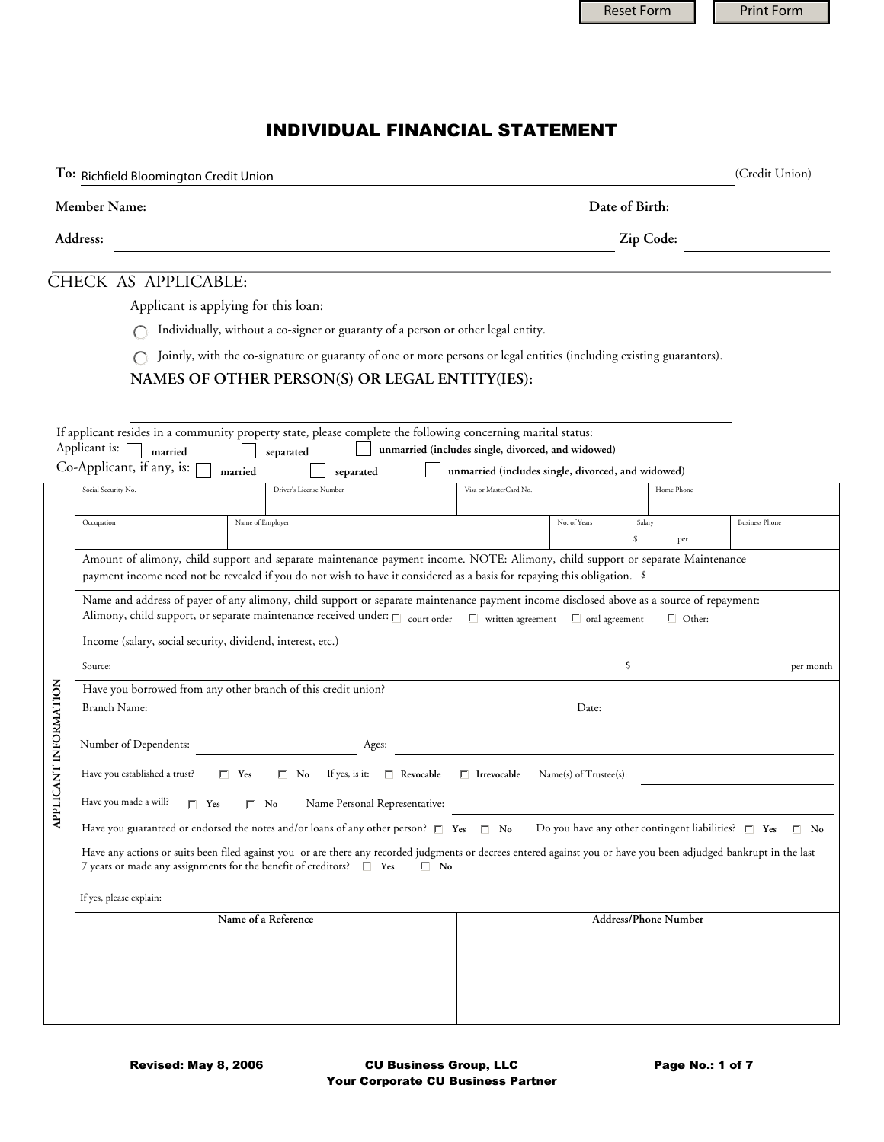|                       |                                                                                                                                                                                                                                                                               | <b>Reset Form</b>                                           |               | <b>Print Form</b>     |  |  |  |  |  |  |
|-----------------------|-------------------------------------------------------------------------------------------------------------------------------------------------------------------------------------------------------------------------------------------------------------------------------|-------------------------------------------------------------|---------------|-----------------------|--|--|--|--|--|--|
|                       |                                                                                                                                                                                                                                                                               |                                                             |               |                       |  |  |  |  |  |  |
|                       |                                                                                                                                                                                                                                                                               |                                                             |               |                       |  |  |  |  |  |  |
|                       |                                                                                                                                                                                                                                                                               |                                                             |               |                       |  |  |  |  |  |  |
|                       | <b>INDIVIDUAL FINANCIAL STATEMENT</b>                                                                                                                                                                                                                                         |                                                             |               |                       |  |  |  |  |  |  |
|                       | To: Richfield Bloomington Credit Union                                                                                                                                                                                                                                        |                                                             |               | (Credit Union)        |  |  |  |  |  |  |
|                       | Member Name:                                                                                                                                                                                                                                                                  | Date of Birth:                                              |               |                       |  |  |  |  |  |  |
|                       | Address:                                                                                                                                                                                                                                                                      | Zip Code:                                                   |               |                       |  |  |  |  |  |  |
|                       |                                                                                                                                                                                                                                                                               |                                                             |               |                       |  |  |  |  |  |  |
|                       | CHECK AS APPLICABLE:                                                                                                                                                                                                                                                          |                                                             |               |                       |  |  |  |  |  |  |
|                       | Applicant is applying for this loan:                                                                                                                                                                                                                                          |                                                             |               |                       |  |  |  |  |  |  |
|                       | Individually, without a co-signer or guaranty of a person or other legal entity.                                                                                                                                                                                              |                                                             |               |                       |  |  |  |  |  |  |
|                       | Jointly, with the co-signature or guaranty of one or more persons or legal entities (including existing guarantors).                                                                                                                                                          |                                                             |               |                       |  |  |  |  |  |  |
|                       | NAMES OF OTHER PERSON(S) OR LEGAL ENTITY(IES):                                                                                                                                                                                                                                |                                                             |               |                       |  |  |  |  |  |  |
|                       |                                                                                                                                                                                                                                                                               |                                                             |               |                       |  |  |  |  |  |  |
|                       | If applicant resides in a community property state, please complete the following concerning marital status:                                                                                                                                                                  |                                                             |               |                       |  |  |  |  |  |  |
|                       | Applicant is:<br>unmarried (includes single, divorced, and widowed)<br>married<br>separated                                                                                                                                                                                   |                                                             |               |                       |  |  |  |  |  |  |
|                       | Co-Applicant, if any, is:<br>married<br>unmarried (includes single, divorced, and widowed)<br>separated                                                                                                                                                                       |                                                             |               |                       |  |  |  |  |  |  |
|                       | Social Security No.<br>Driver's License Number<br>Visa or MasterCard No.                                                                                                                                                                                                      |                                                             | Home Phone    |                       |  |  |  |  |  |  |
|                       | Name of Employer<br>Occupation                                                                                                                                                                                                                                                | No. of Years<br>Salary                                      |               | <b>Business Phone</b> |  |  |  |  |  |  |
|                       |                                                                                                                                                                                                                                                                               | \$                                                          | per           |                       |  |  |  |  |  |  |
|                       | Amount of alimony, child support and separate maintenance payment income. NOTE: Alimony, child support or separate Maintenance                                                                                                                                                |                                                             |               |                       |  |  |  |  |  |  |
|                       | payment income need not be revealed if you do not wish to have it considered as a basis for repaying this obligation. \$                                                                                                                                                      |                                                             |               |                       |  |  |  |  |  |  |
|                       | Name and address of payer of any alimony, child support or separate maintenance payment income disclosed above as a source of repayment:<br>Alimony, child support, or separate maintenance received under: $\Box$ court order $\Box$ written agreement $\Box$ oral agreement |                                                             |               |                       |  |  |  |  |  |  |
|                       | Income (salary, social security, dividend, interest, etc.)                                                                                                                                                                                                                    |                                                             | $\Box$ Other: |                       |  |  |  |  |  |  |
|                       |                                                                                                                                                                                                                                                                               | \$                                                          |               |                       |  |  |  |  |  |  |
|                       | Source:                                                                                                                                                                                                                                                                       |                                                             |               | per month             |  |  |  |  |  |  |
|                       | Have you borrowed from any other branch of this credit union?<br>Branch Name:                                                                                                                                                                                                 | Date:                                                       |               |                       |  |  |  |  |  |  |
|                       |                                                                                                                                                                                                                                                                               |                                                             |               |                       |  |  |  |  |  |  |
|                       | Number of Dependents:<br>Ages:                                                                                                                                                                                                                                                |                                                             |               |                       |  |  |  |  |  |  |
| APPLICANT INFORMATION | Have you established a trust?<br>$\Box$ Revocable<br>$\Box$ Yes<br>$\Box$ No<br>If yes, is it:<br>$\Box$ Irrevocable                                                                                                                                                          | Name(s) of Trustee(s):                                      |               |                       |  |  |  |  |  |  |
|                       | Have you made a will?<br>Name Personal Representative:<br>$\Box$ Yes<br>$\Box$ No                                                                                                                                                                                             |                                                             |               |                       |  |  |  |  |  |  |
|                       | Have you guaranteed or endorsed the notes and/or loans of any other person? $\square$ Yes $\square$ No                                                                                                                                                                        | Do you have any other contingent liabilities? $\square$ Yes |               | $\Box$ No             |  |  |  |  |  |  |
|                       | Have any actions or suits been filed against you or are there any recorded judgments or decrees entered against you or have you been adjudged bankrupt in the last<br>7 years or made any assignments for the benefit of creditors? $\square$ Yes<br>$\Box$ No                |                                                             |               |                       |  |  |  |  |  |  |
|                       | If yes, please explain:                                                                                                                                                                                                                                                       |                                                             |               |                       |  |  |  |  |  |  |
|                       | Name of a Reference                                                                                                                                                                                                                                                           | <b>Address/Phone Number</b>                                 |               |                       |  |  |  |  |  |  |
|                       |                                                                                                                                                                                                                                                                               |                                                             |               |                       |  |  |  |  |  |  |
|                       |                                                                                                                                                                                                                                                                               |                                                             |               |                       |  |  |  |  |  |  |
|                       |                                                                                                                                                                                                                                                                               |                                                             |               |                       |  |  |  |  |  |  |
|                       |                                                                                                                                                                                                                                                                               |                                                             |               |                       |  |  |  |  |  |  |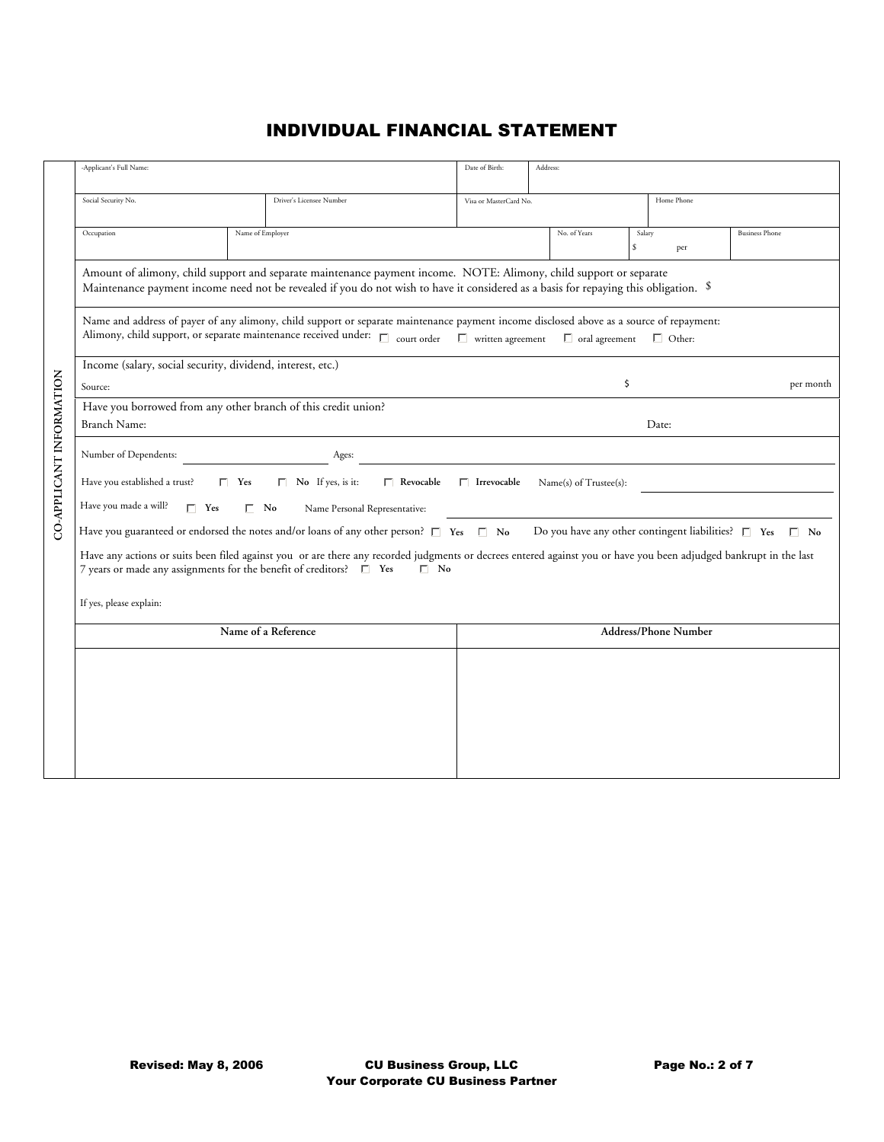|                          | -Applicant's Full Name:                                                                                                                                                                                                                                        |                                                                                                                                                                                                                                                            | Date of Birth:              | Address:              |              |               |                       |  |  |  |
|--------------------------|----------------------------------------------------------------------------------------------------------------------------------------------------------------------------------------------------------------------------------------------------------------|------------------------------------------------------------------------------------------------------------------------------------------------------------------------------------------------------------------------------------------------------------|-----------------------------|-----------------------|--------------|---------------|-----------------------|--|--|--|
|                          | Social Security No.                                                                                                                                                                                                                                            | Driver's Licensee Number                                                                                                                                                                                                                                   | Visa or MasterCard No.      |                       |              | Home Phone    |                       |  |  |  |
|                          | Occupation                                                                                                                                                                                                                                                     | Name of Employer                                                                                                                                                                                                                                           |                             | No. of Years          | Salary<br>\$ | per           | <b>Business Phone</b> |  |  |  |
|                          |                                                                                                                                                                                                                                                                | Amount of alimony, child support and separate maintenance payment income. NOTE: Alimony, child support or separate<br>Maintenance payment income need not be revealed if you do not wish to have it considered as a basis for repaying this obligation. \$ |                             |                       |              |               |                       |  |  |  |
|                          |                                                                                                                                                                                                                                                                | Name and address of payer of any alimony, child support or separate maintenance payment income disclosed above as a source of repayment:<br>Alimony, child support, or separate maintenance received under: $\Box$ court order $\Box$ written agreement    |                             | $\Box$ oral agreement |              | $\Box$ Other: |                       |  |  |  |
|                          | Income (salary, social security, dividend, interest, etc.)                                                                                                                                                                                                     |                                                                                                                                                                                                                                                            |                             |                       |              |               |                       |  |  |  |
|                          | Source:                                                                                                                                                                                                                                                        |                                                                                                                                                                                                                                                            |                             |                       | \$           |               | per month             |  |  |  |
|                          |                                                                                                                                                                                                                                                                | Have you borrowed from any other branch of this credit union?                                                                                                                                                                                              |                             |                       |              |               |                       |  |  |  |
|                          | Branch Name:                                                                                                                                                                                                                                                   |                                                                                                                                                                                                                                                            |                             |                       |              | Date:         |                       |  |  |  |
| CO-APPLICANT INFORMATION | Number of Dependents:                                                                                                                                                                                                                                          | Ages:                                                                                                                                                                                                                                                      |                             |                       |              |               |                       |  |  |  |
|                          | Have you established a trust?<br>$\Box$ No If yes, is it:<br>$\Box$ Yes<br>$\Box$ Revocable<br>$\Box$ Irrevocable<br>Name(s) of Trustee(s):                                                                                                                    |                                                                                                                                                                                                                                                            |                             |                       |              |               |                       |  |  |  |
|                          | Have you made a will?<br>$\Gamma$ Yes<br>$\Box$ No<br>Name Personal Representative:                                                                                                                                                                            |                                                                                                                                                                                                                                                            |                             |                       |              |               |                       |  |  |  |
|                          | Have you guaranteed or endorsed the notes and/or loans of any other person? $\square$ Yes $\square$ No<br>Do you have any other contingent liabilities? $\square$ Yes $\square$ No                                                                             |                                                                                                                                                                                                                                                            |                             |                       |              |               |                       |  |  |  |
|                          | Have any actions or suits been filed against you or are there any recorded judgments or decrees entered against you or have you been adjudged bankrupt in the last<br>7 years or made any assignments for the benefit of creditors? $\square$ Yes<br>$\Box$ No |                                                                                                                                                                                                                                                            |                             |                       |              |               |                       |  |  |  |
|                          | If yes, please explain:                                                                                                                                                                                                                                        |                                                                                                                                                                                                                                                            |                             |                       |              |               |                       |  |  |  |
|                          |                                                                                                                                                                                                                                                                | Name of a Reference                                                                                                                                                                                                                                        | <b>Address/Phone Number</b> |                       |              |               |                       |  |  |  |
|                          |                                                                                                                                                                                                                                                                |                                                                                                                                                                                                                                                            |                             |                       |              |               |                       |  |  |  |
|                          |                                                                                                                                                                                                                                                                |                                                                                                                                                                                                                                                            |                             |                       |              |               |                       |  |  |  |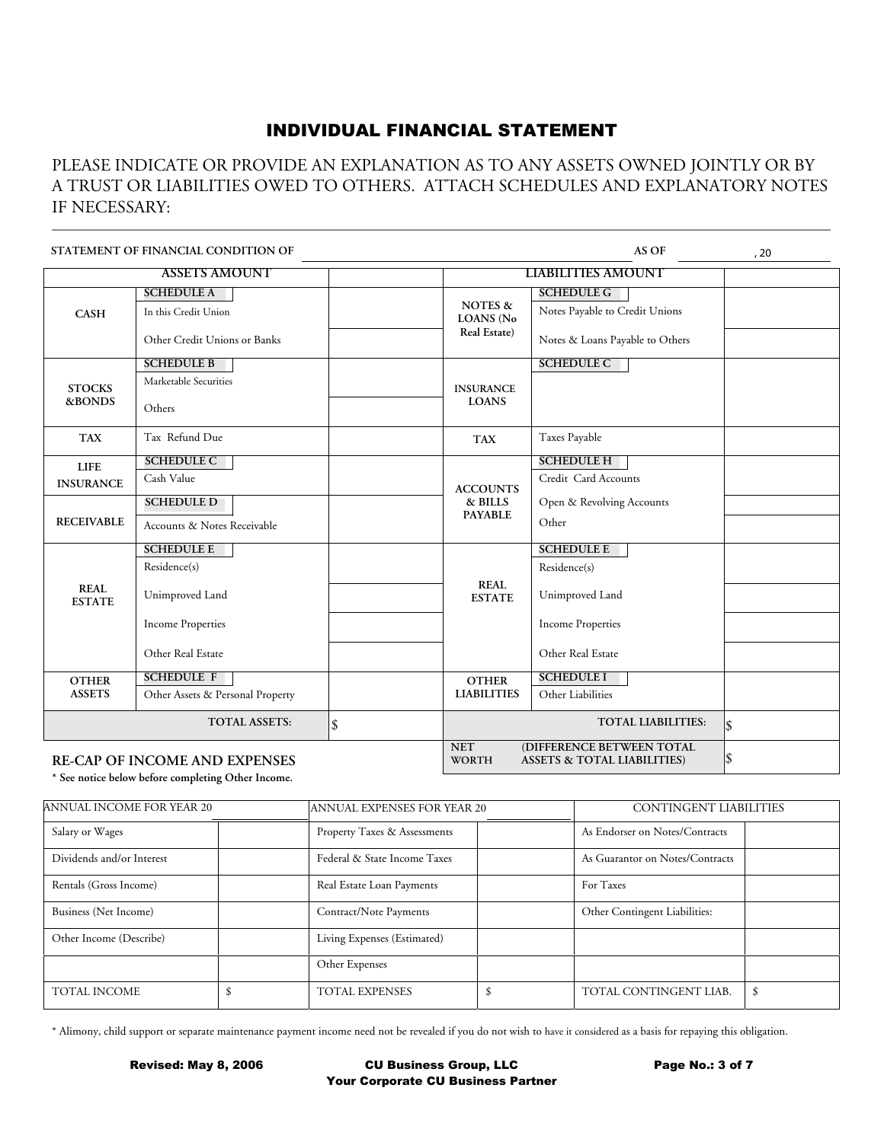#### PLEASE INDICATE OR PROVIDE AN EXPLANATION AS TO ANY ASSETS OWNED JOINTLY OR BY A TRUST OR LIABILITIES OWED TO OTHERS. ATTACH SCHEDULES AND EXPLANATORY NOTES IF NECESSARY:

|                              | STATEMENT OF FINANCIAL CONDITION OF  |                             |                                                                                                                  | AS OF                           | , 20 |  |  |
|------------------------------|--------------------------------------|-----------------------------|------------------------------------------------------------------------------------------------------------------|---------------------------------|------|--|--|
|                              | <b>ASSETS AMOUNT</b>                 |                             |                                                                                                                  | <b>LIABILITIES AMOUNT</b>       |      |  |  |
|                              | <b>SCHEDULE A</b>                    |                             |                                                                                                                  | <b>SCHEDULE G</b>               |      |  |  |
| <b>CASH</b>                  | In this Credit Union                 |                             | <b>NOTES &amp;</b><br><b>LOANS</b> (No                                                                           | Notes Payable to Credit Unions  |      |  |  |
|                              | Other Credit Unions or Banks         |                             | Real Estate)                                                                                                     | Notes & Loans Payable to Others |      |  |  |
|                              | <b>SCHEDULE B</b>                    |                             |                                                                                                                  | <b>SCHEDULE C</b>               |      |  |  |
| <b>STOCKS</b>                | Marketable Securities                |                             | <b>INSURANCE</b>                                                                                                 |                                 |      |  |  |
| &BONDS                       | Others                               |                             | <b>LOANS</b>                                                                                                     |                                 |      |  |  |
| <b>TAX</b>                   | Tax Refund Due                       | Taxes Payable<br><b>TAX</b> |                                                                                                                  |                                 |      |  |  |
| <b>LIFE</b>                  | <b>SCHEDULE C</b>                    |                             |                                                                                                                  | <b>SCHEDULE H</b>               |      |  |  |
| <b>INSURANCE</b>             | Cash Value                           |                             | <b>ACCOUNTS</b>                                                                                                  | Credit Card Accounts            |      |  |  |
|                              | <b>SCHEDULE D</b>                    |                             | & BILLS                                                                                                          | Open & Revolving Accounts       |      |  |  |
| <b>RECEIVABLE</b>            | Accounts & Notes Receivable          |                             | <b>PAYABLE</b>                                                                                                   | Other                           |      |  |  |
|                              | <b>SCHEDULE E</b>                    |                             |                                                                                                                  | <b>SCHEDULE E</b>               |      |  |  |
|                              | Residence(s)                         |                             |                                                                                                                  | Residence(s)                    |      |  |  |
| <b>REAL</b><br><b>ESTATE</b> | Unimproved Land                      |                             | <b>REAL</b><br><b>ESTATE</b>                                                                                     | Unimproved Land                 |      |  |  |
|                              | <b>Income Properties</b>             |                             |                                                                                                                  | <b>Income Properties</b>        |      |  |  |
|                              | Other Real Estate                    |                             |                                                                                                                  | Other Real Estate               |      |  |  |
| <b>OTHER</b>                 | <b>SCHEDULE F</b>                    |                             | <b>OTHER</b>                                                                                                     | <b>SCHEDULE I</b>               |      |  |  |
| <b>ASSETS</b>                | Other Assets & Personal Property     |                             | <b>LIABILITIES</b>                                                                                               | Other Liabilities               |      |  |  |
|                              | <b>TOTAL ASSETS:</b>                 | $\hat{\mathcal{S}}$         |                                                                                                                  | l\$                             |      |  |  |
|                              | <b>RE-CAP OF INCOME AND EXPENSES</b> |                             | <b>NET</b><br>(DIFFERENCE BETWEEN TOTAL<br>$\vert \$\$<br><b>WORTH</b><br><b>ASSETS &amp; TOTAL LIABILITIES)</b> |                                 |      |  |  |

**\* See notice below before completing Other Income.**

| ANNUAL INCOME FOR YEAR 20 | ANNUAL EXPENSES FOR YEAR 20  | <b>CONTINGENT LIABILITIES</b>   |  |  |
|---------------------------|------------------------------|---------------------------------|--|--|
| Salary or Wages           | Property Taxes & Assessments | As Endorser on Notes/Contracts  |  |  |
| Dividends and/or Interest | Federal & State Income Taxes | As Guarantor on Notes/Contracts |  |  |
| Rentals (Gross Income)    | Real Estate Loan Payments    | For Taxes                       |  |  |
| Business (Net Income)     | Contract/Note Payments       | Other Contingent Liabilities:   |  |  |
| Other Income (Describe)   | Living Expenses (Estimated)  |                                 |  |  |
|                           | Other Expenses               |                                 |  |  |
| <b>TOTAL INCOME</b>       | <b>TOTAL EXPENSES</b>        | TOTAL CONTINGENT LIAB.          |  |  |

\* Alimony, child support or separate maintenance payment income need not be revealed if you do not wish to have it considered as a basis for repaying this obligation.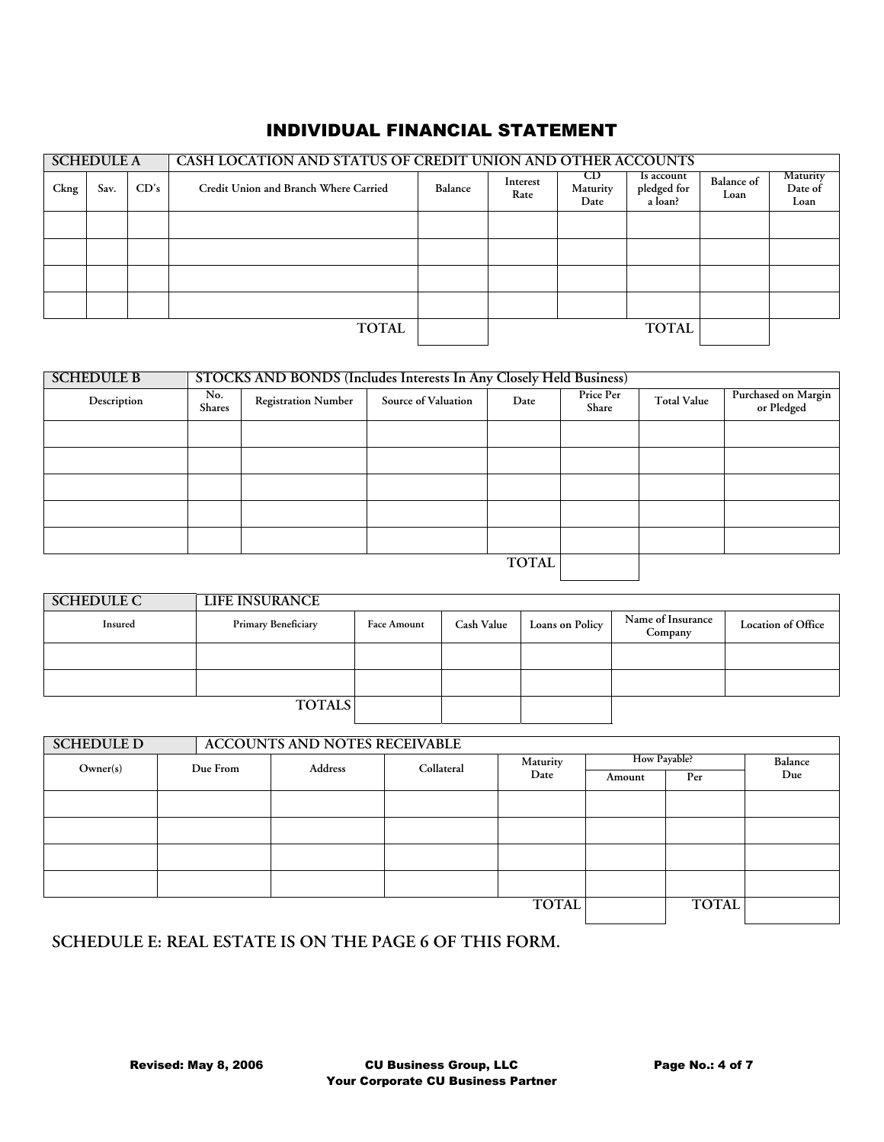|      | <b>SCHEDULE A</b> |      | CASH LOCATION AND STATUS OF CREDIT UNION AND OTHER ACCOUNTS |         |                  |                         |                                      |                           |                                    |
|------|-------------------|------|-------------------------------------------------------------|---------|------------------|-------------------------|--------------------------------------|---------------------------|------------------------------------|
| Ckng | Sav.              | CD's | Credit Union and Branch Where Carried                       | Balance | Interest<br>Rate | CD.<br>Maturity<br>Date | ls account<br>pledged for<br>a loan? | <b>Balance of</b><br>Loan | <b>Maturity</b><br>Date of<br>Loan |
|      |                   |      |                                                             |         |                  |                         |                                      |                           |                                    |
|      |                   |      |                                                             |         |                  |                         |                                      |                           |                                    |
|      |                   |      |                                                             |         |                  |                         |                                      |                           |                                    |
|      |                   |      |                                                             |         |                  |                         |                                      |                           |                                    |
|      |                   |      | <b>TOTAL</b>                                                |         |                  |                         | <b>TOTAL</b>                         |                           |                                    |

| <b>SCHEDULE B</b> |                      | STOCKS AND BONDS (Includes Interests In Any Closely Held Business) |                     |              |                    |                    |                                   |  |  |  |
|-------------------|----------------------|--------------------------------------------------------------------|---------------------|--------------|--------------------|--------------------|-----------------------------------|--|--|--|
| Description       | No.<br><b>Shares</b> | <b>Registration Number</b>                                         | Source of Valuation | Date         | Price Per<br>Share | <b>Total Value</b> | Purchased on Margin<br>or Pledged |  |  |  |
|                   |                      |                                                                    |                     |              |                    |                    |                                   |  |  |  |
|                   |                      |                                                                    |                     |              |                    |                    |                                   |  |  |  |
|                   |                      |                                                                    |                     |              |                    |                    |                                   |  |  |  |
|                   |                      |                                                                    |                     |              |                    |                    |                                   |  |  |  |
|                   |                      |                                                                    |                     |              |                    |                    |                                   |  |  |  |
|                   |                      |                                                                    |                     | <b>TOTAL</b> |                    |                    |                                   |  |  |  |

| <b>SCHEDULE C</b> | LIFE INSURANCE             |                    |                   |                 |                              |                           |
|-------------------|----------------------------|--------------------|-------------------|-----------------|------------------------------|---------------------------|
| Insured           | <b>Primary Beneficiary</b> | <b>Face Amount</b> | <b>Cash Value</b> | Loans on Policy | Name of Insurance<br>Company | <b>Location of Office</b> |
|                   |                            |                    |                   |                 |                              |                           |
|                   |                            |                    |                   |                 |                              |                           |
|                   | <b>TOTALS</b>              |                    |                   |                 |                              |                           |

| <b>SCHEDULE D</b> |          | <b>ACCOUNTS AND NOTES RECEIVABLE</b> |            |              |              |              |         |
|-------------------|----------|--------------------------------------|------------|--------------|--------------|--------------|---------|
| Owner(s)          | Due From | Address                              | Collateral | Maturity     | How Payable? |              | Balance |
|                   |          |                                      |            | Date         | Amount       | Per          | Due     |
|                   |          |                                      |            |              |              |              |         |
|                   |          |                                      |            |              |              |              |         |
|                   |          |                                      |            |              |              |              |         |
|                   |          |                                      |            |              |              |              |         |
|                   |          |                                      |            | <b>TOTAL</b> |              | <b>TOTAL</b> |         |

**SCHEDULE E: REAL ESTATE IS ON THE PAGE 6 OF THIS FORM.**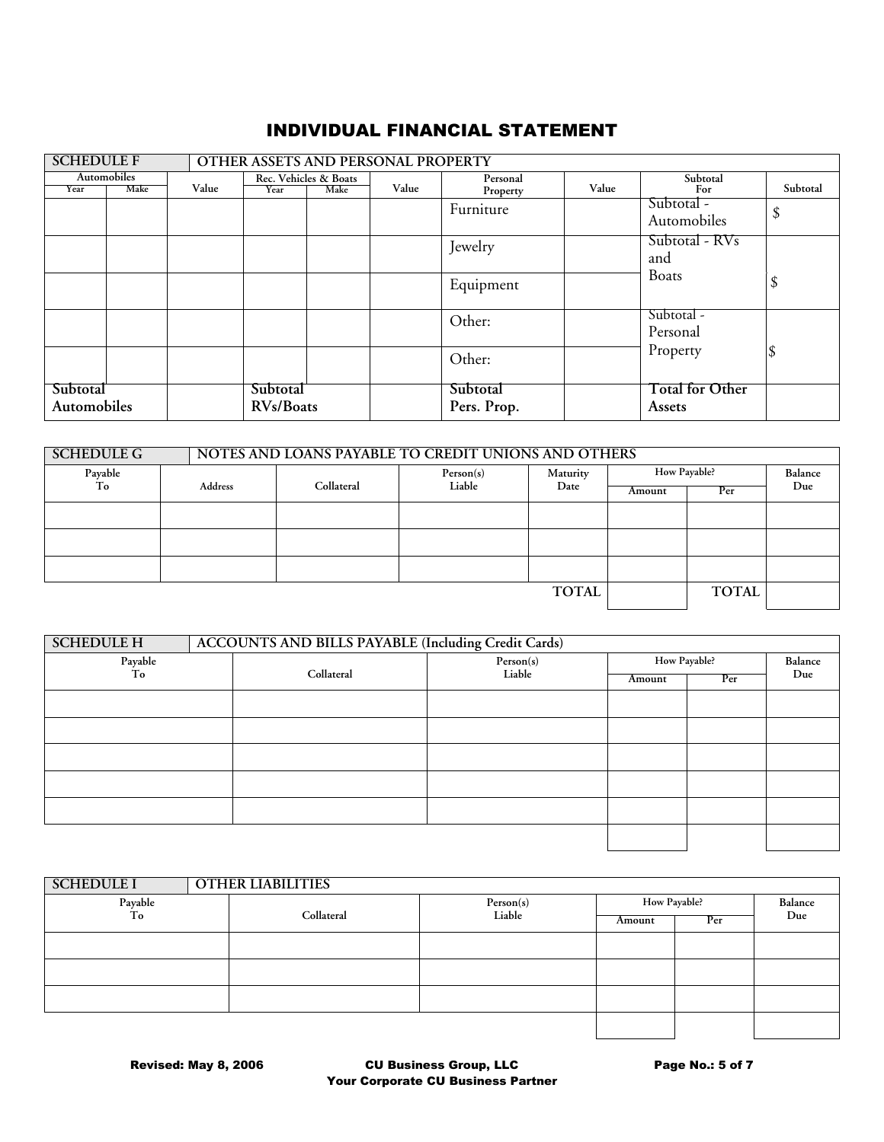| <b>SCHEDULE F</b>              |                     |                                                |  | <b>OTHER ASSETS AND PERSONAL PROPERTY</b> |                         |       |                                  |          |
|--------------------------------|---------------------|------------------------------------------------|--|-------------------------------------------|-------------------------|-------|----------------------------------|----------|
| Year                           | Automobiles<br>Make | Rec. Vehicles & Boats<br>Value<br>Make<br>Year |  | Value                                     | Personal                | Value | Subtotal<br>For                  | Subtotal |
|                                |                     |                                                |  |                                           | Property<br>Furniture   |       | Subtotal -<br>Automobiles        | \$       |
|                                |                     |                                                |  |                                           | Jewelry                 |       | Subtotal - RVs<br>and            |          |
|                                |                     |                                                |  |                                           | Equipment               |       | <b>Boats</b>                     |          |
|                                |                     |                                                |  |                                           | Other:                  |       | Subtotal -<br>Personal           |          |
|                                |                     |                                                |  |                                           | Other:                  |       | Property                         |          |
| Subtotal<br><b>Automobiles</b> |                     | Subtotal<br>RVs/Boats                          |  |                                           | Subtotal<br>Pers. Prop. |       | <b>Total for Other</b><br>Assets |          |

| NOTES AND LOANS PAYABLE TO CREDIT UNIONS AND OTHERS<br><b>SCHEDULE G</b> |         |            |              |              |              |         |  |  |
|--------------------------------------------------------------------------|---------|------------|--------------|--------------|--------------|---------|--|--|
|                                                                          |         | Person(s)  | Maturity     | How Payable? |              | Balance |  |  |
|                                                                          |         |            |              | Amount       | Per          | Due     |  |  |
|                                                                          |         |            |              |              |              |         |  |  |
|                                                                          |         |            |              |              |              |         |  |  |
|                                                                          |         |            |              |              |              |         |  |  |
|                                                                          |         |            |              |              |              |         |  |  |
|                                                                          |         |            | <b>TOTAL</b> |              | <b>TOTAL</b> |         |  |  |
|                                                                          | Address | Collateral | Liable       | Date         |              |         |  |  |

| <b>SCHEDULE H</b> |  | <b>ACCOUNTS AND BILLS PAYABLE (Including Credit Cards)</b> |           |        |              |     |  |  |  |
|-------------------|--|------------------------------------------------------------|-----------|--------|--------------|-----|--|--|--|
| Payable           |  |                                                            | Person(s) |        | How Payable? |     |  |  |  |
| To                |  | Collateral                                                 | Liable    | Amount | Per          | Due |  |  |  |
|                   |  |                                                            |           |        |              |     |  |  |  |
|                   |  |                                                            |           |        |              |     |  |  |  |
|                   |  |                                                            |           |        |              |     |  |  |  |
|                   |  |                                                            |           |        |              |     |  |  |  |
|                   |  |                                                            |           |        |              |     |  |  |  |
|                   |  |                                                            |           |        |              |     |  |  |  |
|                   |  |                                                            |           |        |              |     |  |  |  |
|                   |  |                                                            |           |        |              |     |  |  |  |
|                   |  |                                                            |           |        |              |     |  |  |  |

| <b>SCHEDULE I</b> |  | <b>OTHER LIABILITIES</b> |           |              |     |         |  |
|-------------------|--|--------------------------|-----------|--------------|-----|---------|--|
| Payable           |  |                          | Person(s) | How Payable? |     | Balance |  |
| To                |  | Collateral               | Liable    | Amount       | Per | Due     |  |
|                   |  |                          |           |              |     |         |  |
|                   |  |                          |           |              |     |         |  |
|                   |  |                          |           |              |     |         |  |
|                   |  |                          |           |              |     |         |  |
|                   |  |                          |           |              |     |         |  |
|                   |  |                          |           |              |     |         |  |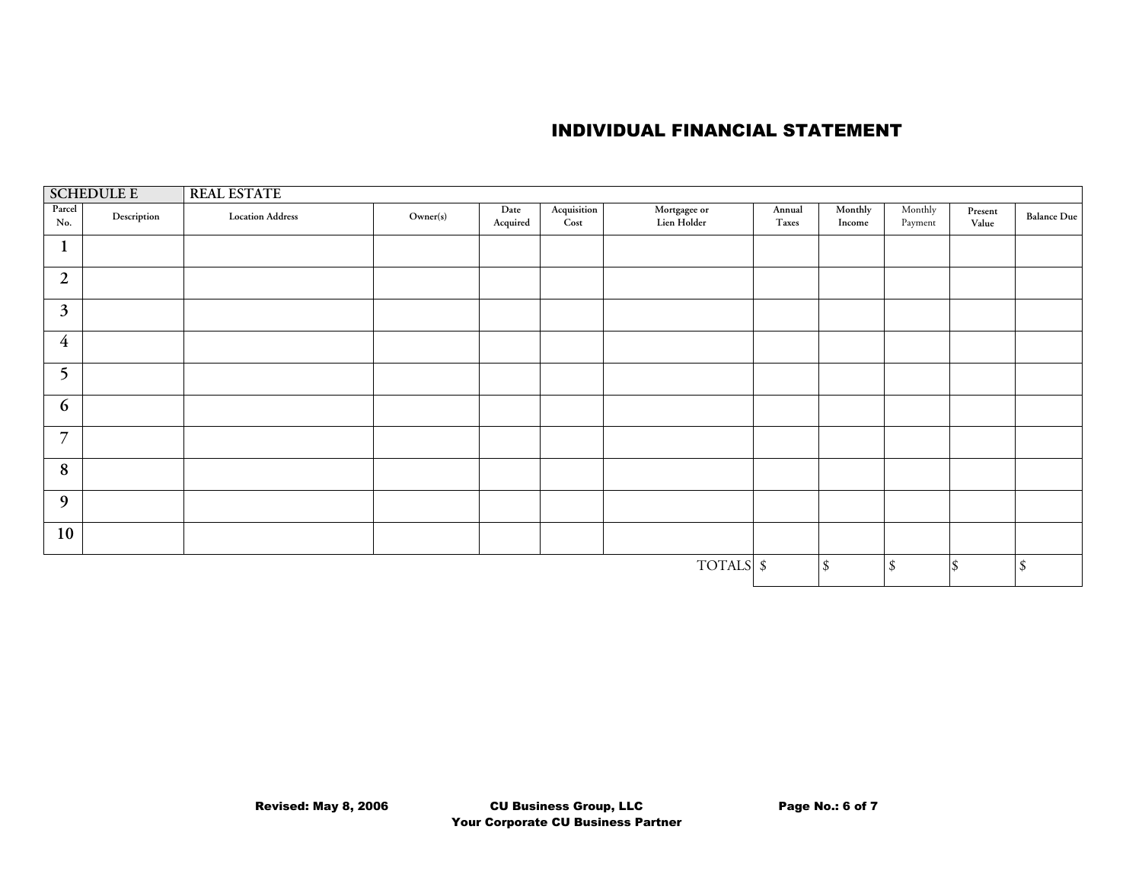| <b>SCHEDULE E</b> |             | <b>REAL ESTATE</b>      |          |                         |                     |                             |                 |                   |                                 |                  |             |  |  |
|-------------------|-------------|-------------------------|----------|-------------------------|---------------------|-----------------------------|-----------------|-------------------|---------------------------------|------------------|-------------|--|--|
| Parcel<br>No.     | Description | <b>Location Address</b> | Owner(s) | Date<br>$\bf{Acquired}$ | Acquisition<br>Cost | Mortgagee or<br>Lien Holder | Annual<br>Taxes | Monthly<br>Income | Monthly<br>Payment              | Present<br>Value | Balance Due |  |  |
| $\mathbf{1}$      |             |                         |          |                         |                     |                             |                 |                   |                                 |                  |             |  |  |
| $\boldsymbol{2}$  |             |                         |          |                         |                     |                             |                 |                   |                                 |                  |             |  |  |
| $\mathfrak{Z}$    |             |                         |          |                         |                     |                             |                 |                   |                                 |                  |             |  |  |
| $\overline{4}$    |             |                         |          |                         |                     |                             |                 |                   |                                 |                  |             |  |  |
| 5                 |             |                         |          |                         |                     |                             |                 |                   |                                 |                  |             |  |  |
| 6                 |             |                         |          |                         |                     |                             |                 |                   |                                 |                  |             |  |  |
| $\overline{7}$    |             |                         |          |                         |                     |                             |                 |                   |                                 |                  |             |  |  |
| $\bf 8$           |             |                         |          |                         |                     |                             |                 |                   |                                 |                  |             |  |  |
| 9                 |             |                         |          |                         |                     |                             |                 |                   |                                 |                  |             |  |  |
| 10                |             |                         |          |                         |                     |                             |                 |                   |                                 |                  |             |  |  |
| TOTALS \$         |             |                         |          |                         |                     |                             |                 | $\mathcal{S}$     | $\boldsymbol{\hat{\mathbf{x}}}$ |                  | $\sqrt{\ }$ |  |  |